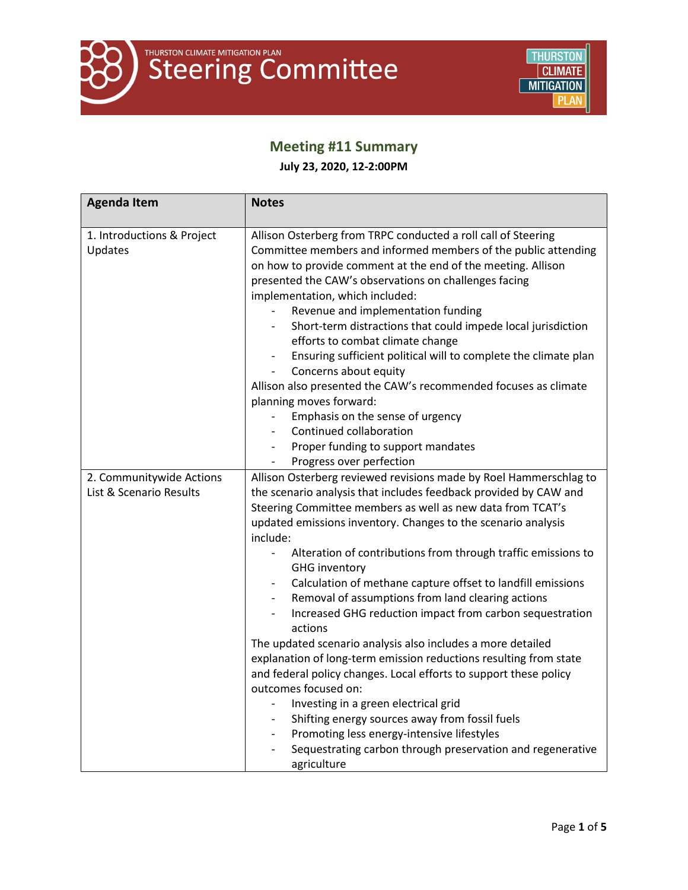

# **Meeting #11 Summary**

**July 23, 2020, 12-2:00PM**

| <b>Agenda Item</b>                                  | <b>Notes</b>                                                                                                                                                                                                                                                                                                                                                                                                                                                                                                                                                                                                                                                                                   |
|-----------------------------------------------------|------------------------------------------------------------------------------------------------------------------------------------------------------------------------------------------------------------------------------------------------------------------------------------------------------------------------------------------------------------------------------------------------------------------------------------------------------------------------------------------------------------------------------------------------------------------------------------------------------------------------------------------------------------------------------------------------|
| 1. Introductions & Project<br>Updates               | Allison Osterberg from TRPC conducted a roll call of Steering<br>Committee members and informed members of the public attending<br>on how to provide comment at the end of the meeting. Allison<br>presented the CAW's observations on challenges facing<br>implementation, which included:<br>Revenue and implementation funding<br>Short-term distractions that could impede local jurisdiction<br>efforts to combat climate change<br>Ensuring sufficient political will to complete the climate plan<br>Concerns about equity<br>Allison also presented the CAW's recommended focuses as climate<br>planning moves forward:<br>Emphasis on the sense of urgency<br>Continued collaboration |
|                                                     | Proper funding to support mandates<br>Progress over perfection<br>$\overline{\phantom{a}}$                                                                                                                                                                                                                                                                                                                                                                                                                                                                                                                                                                                                     |
| 2. Communitywide Actions<br>List & Scenario Results | Allison Osterberg reviewed revisions made by Roel Hammerschlag to<br>the scenario analysis that includes feedback provided by CAW and<br>Steering Committee members as well as new data from TCAT's<br>updated emissions inventory. Changes to the scenario analysis<br>include:<br>Alteration of contributions from through traffic emissions to                                                                                                                                                                                                                                                                                                                                              |
|                                                     | <b>GHG inventory</b><br>Calculation of methane capture offset to landfill emissions<br>Removal of assumptions from land clearing actions<br>Increased GHG reduction impact from carbon sequestration<br>actions<br>The updated scenario analysis also includes a more detailed<br>explanation of long-term emission reductions resulting from state                                                                                                                                                                                                                                                                                                                                            |
|                                                     | and federal policy changes. Local efforts to support these policy<br>outcomes focused on:<br>Investing in a green electrical grid<br>Shifting energy sources away from fossil fuels<br>Promoting less energy-intensive lifestyles<br>Sequestrating carbon through preservation and regenerative<br>agriculture                                                                                                                                                                                                                                                                                                                                                                                 |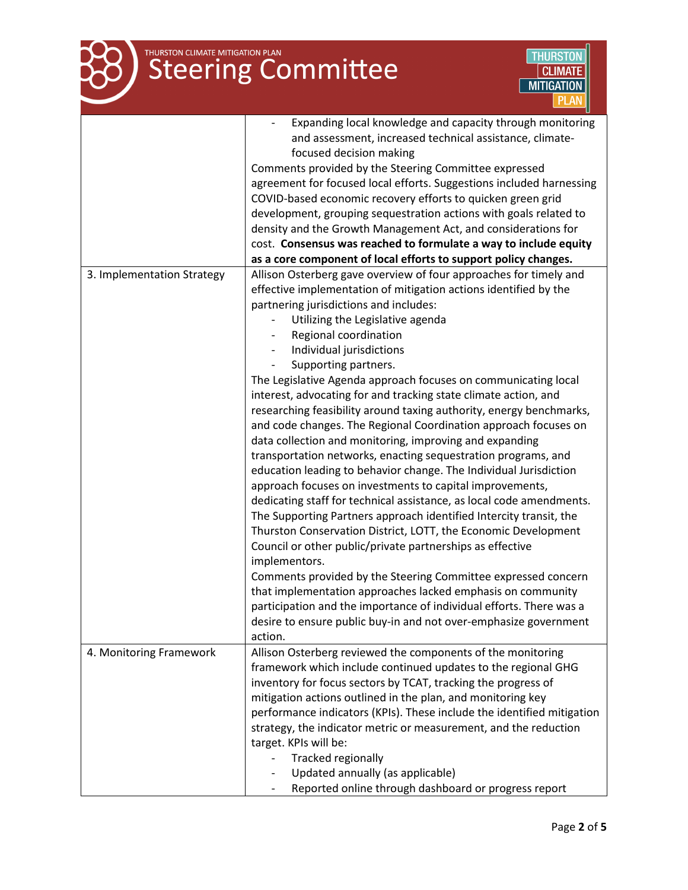# THURSTON CLIMATE MITIGATION PLAN



|                            | Expanding local knowledge and capacity through monitoring<br>and assessment, increased technical assistance, climate-<br>focused decision making<br>Comments provided by the Steering Committee expressed<br>agreement for focused local efforts. Suggestions included harnessing<br>COVID-based economic recovery efforts to quicken green grid<br>development, grouping sequestration actions with goals related to                                                                                                                                                                                                                                                                                                                                                                                                                                                                                                                                                                                                                                                                                                                                                                                                                                                      |
|----------------------------|----------------------------------------------------------------------------------------------------------------------------------------------------------------------------------------------------------------------------------------------------------------------------------------------------------------------------------------------------------------------------------------------------------------------------------------------------------------------------------------------------------------------------------------------------------------------------------------------------------------------------------------------------------------------------------------------------------------------------------------------------------------------------------------------------------------------------------------------------------------------------------------------------------------------------------------------------------------------------------------------------------------------------------------------------------------------------------------------------------------------------------------------------------------------------------------------------------------------------------------------------------------------------|
|                            | density and the Growth Management Act, and considerations for                                                                                                                                                                                                                                                                                                                                                                                                                                                                                                                                                                                                                                                                                                                                                                                                                                                                                                                                                                                                                                                                                                                                                                                                              |
|                            | cost. Consensus was reached to formulate a way to include equity                                                                                                                                                                                                                                                                                                                                                                                                                                                                                                                                                                                                                                                                                                                                                                                                                                                                                                                                                                                                                                                                                                                                                                                                           |
|                            | as a core component of local efforts to support policy changes.                                                                                                                                                                                                                                                                                                                                                                                                                                                                                                                                                                                                                                                                                                                                                                                                                                                                                                                                                                                                                                                                                                                                                                                                            |
| 3. Implementation Strategy | Allison Osterberg gave overview of four approaches for timely and<br>effective implementation of mitigation actions identified by the<br>partnering jurisdictions and includes:<br>Utilizing the Legislative agenda<br>Regional coordination<br>Individual jurisdictions<br>Supporting partners.<br>The Legislative Agenda approach focuses on communicating local<br>interest, advocating for and tracking state climate action, and<br>researching feasibility around taxing authority, energy benchmarks,<br>and code changes. The Regional Coordination approach focuses on<br>data collection and monitoring, improving and expanding<br>transportation networks, enacting sequestration programs, and<br>education leading to behavior change. The Individual Jurisdiction<br>approach focuses on investments to capital improvements,<br>dedicating staff for technical assistance, as local code amendments.<br>The Supporting Partners approach identified Intercity transit, the<br>Thurston Conservation District, LOTT, the Economic Development<br>Council or other public/private partnerships as effective<br>implementors.<br>Comments provided by the Steering Committee expressed concern<br>that implementation approaches lacked emphasis on community |
|                            | participation and the importance of individual efforts. There was a                                                                                                                                                                                                                                                                                                                                                                                                                                                                                                                                                                                                                                                                                                                                                                                                                                                                                                                                                                                                                                                                                                                                                                                                        |
|                            | desire to ensure public buy-in and not over-emphasize government<br>action.                                                                                                                                                                                                                                                                                                                                                                                                                                                                                                                                                                                                                                                                                                                                                                                                                                                                                                                                                                                                                                                                                                                                                                                                |
| 4. Monitoring Framework    | Allison Osterberg reviewed the components of the monitoring<br>framework which include continued updates to the regional GHG<br>inventory for focus sectors by TCAT, tracking the progress of<br>mitigation actions outlined in the plan, and monitoring key<br>performance indicators (KPIs). These include the identified mitigation<br>strategy, the indicator metric or measurement, and the reduction<br>target. KPIs will be:<br><b>Tracked regionally</b>                                                                                                                                                                                                                                                                                                                                                                                                                                                                                                                                                                                                                                                                                                                                                                                                           |
|                            | Updated annually (as applicable)<br>Reported online through dashboard or progress report                                                                                                                                                                                                                                                                                                                                                                                                                                                                                                                                                                                                                                                                                                                                                                                                                                                                                                                                                                                                                                                                                                                                                                                   |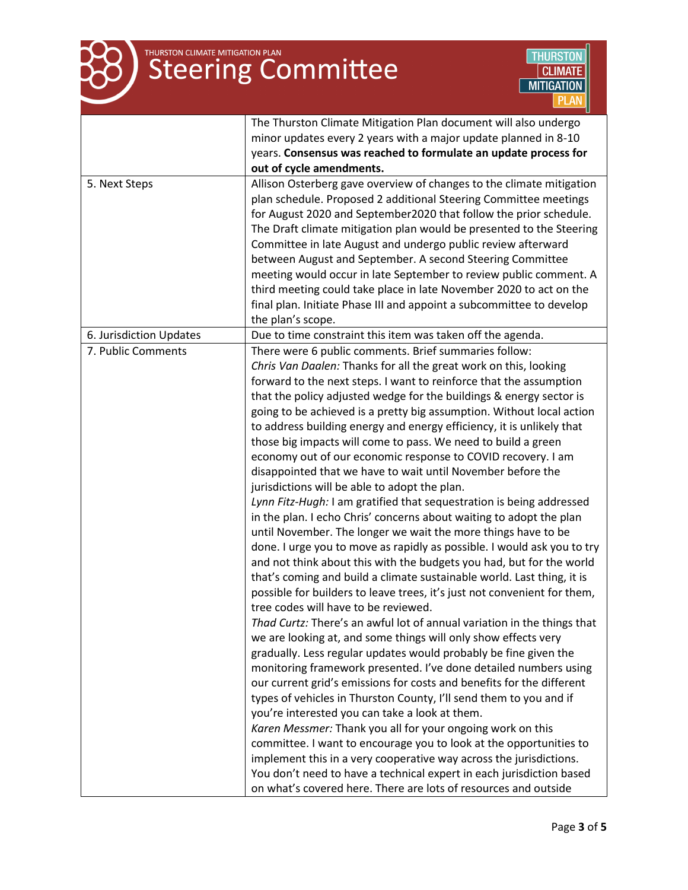

|                         | The Thurston Climate Mitigation Plan document will also undergo          |
|-------------------------|--------------------------------------------------------------------------|
|                         | minor updates every 2 years with a major update planned in 8-10          |
|                         | years. Consensus was reached to formulate an update process for          |
|                         | out of cycle amendments.                                                 |
| 5. Next Steps           | Allison Osterberg gave overview of changes to the climate mitigation     |
|                         | plan schedule. Proposed 2 additional Steering Committee meetings         |
|                         | for August 2020 and September2020 that follow the prior schedule.        |
|                         | The Draft climate mitigation plan would be presented to the Steering     |
|                         | Committee in late August and undergo public review afterward             |
|                         | between August and September. A second Steering Committee                |
|                         | meeting would occur in late September to review public comment. A        |
|                         | third meeting could take place in late November 2020 to act on the       |
|                         | final plan. Initiate Phase III and appoint a subcommittee to develop     |
|                         | the plan's scope.                                                        |
| 6. Jurisdiction Updates | Due to time constraint this item was taken off the agenda.               |
| 7. Public Comments      | There were 6 public comments. Brief summaries follow:                    |
|                         | Chris Van Daalen: Thanks for all the great work on this, looking         |
|                         | forward to the next steps. I want to reinforce that the assumption       |
|                         | that the policy adjusted wedge for the buildings & energy sector is      |
|                         | going to be achieved is a pretty big assumption. Without local action    |
|                         | to address building energy and energy efficiency, it is unlikely that    |
|                         | those big impacts will come to pass. We need to build a green            |
|                         | economy out of our economic response to COVID recovery. I am             |
|                         | disappointed that we have to wait until November before the              |
|                         | jurisdictions will be able to adopt the plan.                            |
|                         | Lynn Fitz-Hugh: I am gratified that sequestration is being addressed     |
|                         | in the plan. I echo Chris' concerns about waiting to adopt the plan      |
|                         | until November. The longer we wait the more things have to be            |
|                         | done. I urge you to move as rapidly as possible. I would ask you to try  |
|                         | and not think about this with the budgets you had, but for the world     |
|                         | that's coming and build a climate sustainable world. Last thing, it is   |
|                         | possible for builders to leave trees, it's just not convenient for them, |
|                         | tree codes will have to be reviewed.                                     |
|                         | Thad Curtz: There's an awful lot of annual variation in the things that  |
|                         | we are looking at, and some things will only show effects very           |
|                         | gradually. Less regular updates would probably be fine given the         |
|                         | monitoring framework presented. I've done detailed numbers using         |
|                         | our current grid's emissions for costs and benefits for the different    |
|                         |                                                                          |
|                         | types of vehicles in Thurston County, I'll send them to you and if       |
|                         | you're interested you can take a look at them.                           |
|                         | Karen Messmer: Thank you all for your ongoing work on this               |
|                         | committee. I want to encourage you to look at the opportunities to       |
|                         | implement this in a very cooperative way across the jurisdictions.       |
|                         | You don't need to have a technical expert in each jurisdiction based     |
|                         | on what's covered here. There are lots of resources and outside          |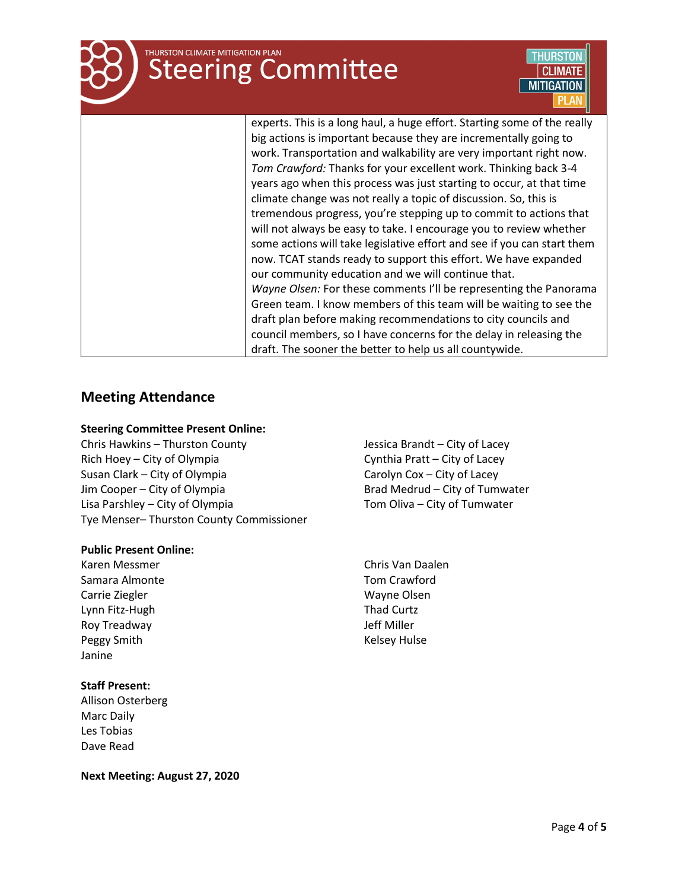# **THURSTON CLIMATE MITIGATION PLAN Steering Committee**



experts. This is a long haul, a huge effort. Starting some of the really big actions is important because they are incrementally going to work. Transportation and walkability are very important right now. *Tom Crawford:* Thanks for your excellent work. Thinking back 3-4 years ago when this process was just starting to occur, at that time climate change was not really a topic of discussion. So, this is tremendous progress, you're stepping up to commit to actions that will not always be easy to take. I encourage you to review whether some actions will take legislative effort and see if you can start them now. TCAT stands ready to support this effort. We have expanded our community education and we will continue that. *Wayne Olsen:* For these comments I'll be representing the Panorama Green team. I know members of this team will be waiting to see the draft plan before making recommendations to city councils and council members, so I have concerns for the delay in releasing the draft. The sooner the better to help us all countywide.

## **Meeting Attendance**

### **Steering Committee Present Online:**

Chris Hawkins – Thurston County Rich Hoey – City of Olympia Susan Clark – City of Olympia Jim Cooper – City of Olympia Lisa Parshley – City of Olympia Tye Menser– Thurston County Commissioner

#### **Public Present Online:**

Karen Messmer Samara Almonte Carrie Ziegler Lynn Fitz-Hugh Roy Treadway Peggy Smith **Kelsey Hulse** Janine

#### **Staff Present:**

Allison Osterberg Marc Daily Les Tobias Dave Read

Jessica Brandt – City of Lacey Cynthia Pratt – City of Lacey Carolyn Cox – City of Lacey Brad Medrud – City of Tumwater Tom Oliva – City of Tumwater

Chris Van Daalen Tom Crawford Wayne Olsen Thad Curtz Jeff Miller

**Next Meeting: August 27, 2020**